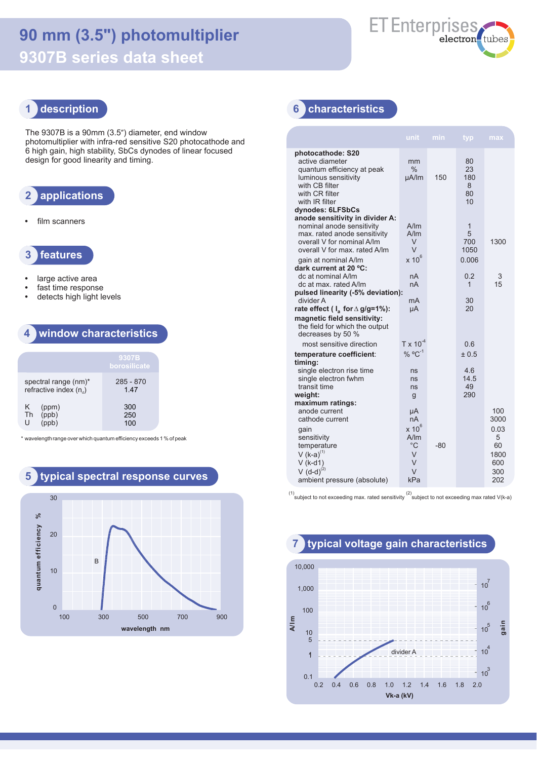# **90 mm (3.5") photomultiplier 9307B series data sheet**



#### **1 description**

The 9307B is a 90mm (3.5") diameter, end window photomultiplier with infra-red sensitive S20 photocathode and 6 high gain, high stability, SbCs dynodes of linear focused design for good linearity and timing.

#### **2 applications**

**•** film scanners



- **•** large active area
- **•** fast time response
- **•** detects high light levels

#### **4 window characteristics**

|                                                  | 9307B<br>borosilicate |
|--------------------------------------------------|-----------------------|
| spectral range (nm)*<br>refractive index $(n_a)$ | $285 - 870$<br>147    |
| K.<br>(ppm)<br>(ppb)<br><b>Th</b><br>U           | 300<br>250<br>100     |

\* wavelengthrange over which quantum efficiency exceeds 1 % of peak



#### **6 characteristics**

|                                                                                                                                                                                     | unit                                        | min | typ.                             | max                                          |
|-------------------------------------------------------------------------------------------------------------------------------------------------------------------------------------|---------------------------------------------|-----|----------------------------------|----------------------------------------------|
| photocathode: S20<br>active diameter<br>quantum efficiency at peak<br>luminous sensitivity<br>with CB filter<br>with CR filter<br>with IR filter<br>dynodes: 6LFSbCs                | mm<br>$\%$<br>µA/lm                         | 150 | 80<br>23<br>180<br>8<br>80<br>10 |                                              |
| anode sensitivity in divider A:<br>nominal anode sensitivity<br>max. rated anode sensitivity<br>overall V for nominal A/Im<br>overall V for max, rated A/Im<br>gain at nominal A/Im | A/m<br>A/m<br>V<br>V<br>$x 10^6$            |     | 1<br>5<br>700<br>1050<br>0.006   | 1300                                         |
| dark current at 20 °C:<br>dc at nominal A/Im<br>dc at max. rated A/Im<br>pulsed linearity (-5% deviation):<br>divider A<br>rate effect ( $I_a$ for $\Delta$ g/g=1%):                | nA<br>nA<br>mA<br>μA                        |     | 0.2<br>1<br>30<br>20             | 3<br>15                                      |
| magnetic field sensitivity:<br>the field for which the output<br>decreases by 50 %                                                                                                  |                                             |     |                                  |                                              |
| most sensitive direction                                                                                                                                                            | $T \times 10^{-4}$                          |     | 0 6                              |                                              |
| temperature coefficient:                                                                                                                                                            | $\%$ °C <sup>-1</sup>                       |     | ± 0.5                            |                                              |
| timing:<br>single electron rise time<br>single electron fwhm<br>transit time<br>weight:                                                                                             | ns<br>ns<br>ns<br>g                         |     | 4.6<br>14.5<br>49<br>290         |                                              |
| maximum ratings:<br>anode current<br>cathode current                                                                                                                                | μA<br>пA                                    |     |                                  | 100<br>3000                                  |
| gain<br>sensitivity<br>temperature<br>$V (k-a)^{(1)}$<br>$V$ (k-d1)<br>$V(d-d)^{(2)}$<br>ambient pressure (absolute)                                                                | $x 10^6$<br>A/m<br>°C<br>V<br>V<br>V<br>kPa | -80 |                                  | 0.03<br>5<br>60<br>1800<br>600<br>300<br>202 |

(1)<br>
subject to not exceeding max. rated sensitivity  $\binom{2}{3}$  subject to not exceeding max rated V(k-a)

0.2 0.4 0.6 0.8 1.0 1.2 1.4 1.6 1.8 2.0 0.1 1 10 100 1,000 10,000  $-10^{3}$  $10^{4}$ 10<sup>5</sup>  $10^6$  $10^7$ 5 **A/lm Vk-a (kV)** divider A **gain**

#### **7 typical voltage gain characteristics**